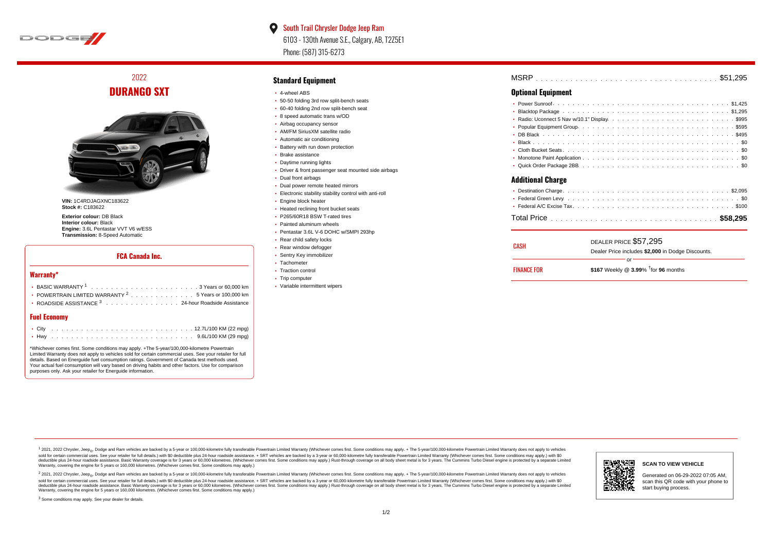

 $\bullet$ South Trail Chrysler Dodge Jeep Ram 6103 - 130th Avenue S.E., Calgary, AB, T2Z5E1 Phone: (587) 315-6273

2022 **DURANGO SXT**



**VIN:** 1C4RDJAGXNC183622 **Stock #:** C183622

**Exterior colour:** DB Black **Interior colour:** Black **Engine:** 3.6L Pentastar VVT V6 w/ESS **Transmission:** 8-Speed Automatic

#### **FCA Canada Inc.**

#### **Warranty\***

| • POWERTRAIN LIMITED WARRANTY $2 \ldots \ldots \ldots \ldots \ldots 5$ Years or 100,000 km |
|--------------------------------------------------------------------------------------------|
| • ROADSIDE ASSISTANCE 3 24-hour Roadside Assistance                                        |
|                                                                                            |

### **Fuel Economy**

\*Whichever comes first. Some conditions may apply. +The 5-year/100,000-kilometre Powertrain Limited Warranty does not apply to vehicles sold for certain commercial uses. See your retailer for full details. Based on Energuide fuel consumption ratings. Government of Canada test methods used. Your actual fuel consumption will vary based on driving habits and other factors. Use for comparison purposes only. Ask your retailer for Energuide information.

#### **Standard Equipment**

- 4-wheel ABS
- 50-50 folding 3rd row split-bench seats
- 60-40 folding 2nd row split-bench seat
- 8 speed automatic trans w/OD
- Airbag occupancy sensor AM/FM SiriusXM satellite radio
- Automatic air conditioning
- Battery with run down protection
- Brake assistance
- Daytime running lights
- Driver & front passenger seat mounted side airbags
- Dual front airbags
- Dual power remote heated mirrors
- Electronic stability stability control with anti-roll
- **Engine block heater**
- Heated reclining front bucket seats
- P265/60R18 BSW T-rated tires
- Painted aluminum wheels
- Pentastar 3.6L V-6 DOHC w/SMPI 293hp
- Rear child safety locks
- Rear window defogger
- Sentry Key immobilizer
- Tachometer
- Traction control
- Trip computer
- Variable intermittent wipers

| <b>MSRP</b> |  |
|-------------|--|
|-------------|--|

#### **Optional Equipment**

| <b>Additional Charge</b> |  |
|--------------------------|--|

| CASH               | DEALER PRICE \$57,295                              |
|--------------------|----------------------------------------------------|
|                    | Dealer Price includes \$2,000 in Dodge Discounts.  |
|                    | Ωr                                                 |
| <b>FINANCE FOR</b> | \$167 Weekly @ $3.99\%$ <sup>†</sup> for 96 months |

1 2021, 2022 Chrysler, Jeep.... Dodge and Ram vehicles are backed by a 5-year or 100,000-kilometre fully transferable Powertrain Limited Warranty (Whichever comes first. Some conditions may apply. + The 5-year/100,000-kilo sold for certain commercial uses. See your retailer for full details.) with \$0 deductible plus 24-hour roadside assistance. + SRT vehicles are backed by a 3-year or 60,000-kilometre fully transferable Powertrain Limited Wa detuctible plus 24-hour roadside assistance. Basic Warranty coverage is for 3 years or 60,000 kilometres. Whichever comes first. Some conditions may apply.) Rust-through coverage on all body sheet metals for 3 years. The C Warranty, covering the engine for 5 years or 160,000 kilometres. (Whichever comes first. Some conditions may apply.)





**SCAN TO VIEW VEHICLE**

Generated on 06-29-2022 07:05 AM, scan this QR code with your phone to start buying process.

<sup>3</sup> Some conditions may apply. See your dealer for details.